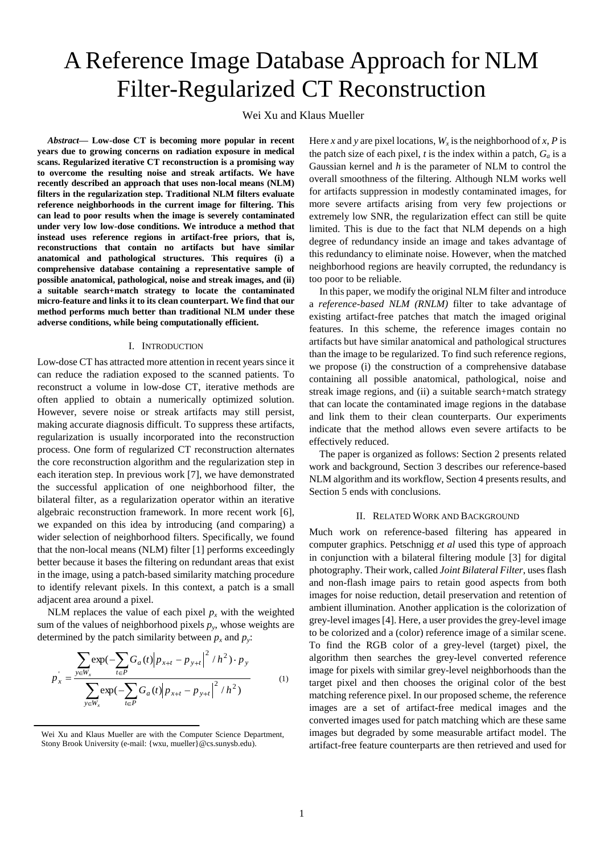# A Reference Image Database Approach for NLM Filter-Regularized CT Reconstruction

Wei Xu and Klaus Mueller

*Abstract***— Low-dose CT is becoming more popular in recent years due to growing concerns on radiation exposure in medical scans. Regularized iterative CT reconstruction is a promising way to overcome the resulting noise and streak artifacts. We have recently described an approach that uses non-local means (NLM) filters in the regularization step. Traditional NLM filters evaluate reference neighborhoods in the current image for filtering. This can lead to poor results when the image is severely contaminated under very low low-dose conditions. We introduce a method that instead uses reference regions in artifact-free priors, that is, reconstructions that contain no artifacts but have similar anatomical and pathological structures. This requires (i) a comprehensive database containing a representative sample of possible anatomical, pathological, noise and streak images, and (ii) a suitable search+match strategy to locate the contaminated micro-feature and links it to its clean counterpart. We find that our method performs much better than traditional NLM under these adverse conditions, while being computationally efficient.**

#### I. INTRODUCTION

Low-dose CT has attracted more attention in recent years since it can reduce the radiation exposed to the scanned patients. To reconstruct a volume in low-dose CT, iterative methods are often applied to obtain a numerically optimized solution. However, severe noise or streak artifacts may still persist, making accurate diagnosis difficult. To suppress these artifacts, regularization is usually incorporated into the reconstruction process. One form of regularized CT reconstruction alternates the core reconstruction algorithm and the regularization step in each iteration step. In previous work [\[7\],](#page-3-0) we have demonstrated the successful application of one neighborhood filter, the bilateral filter, as a regularization operator within an iterative algebraic reconstruction framework. In more recent work [\[6\],](#page-3-1) we expanded on this idea by introducing (and comparing) a wider selection of neighborhood filters. Specifically, we found that the non-local means (NLM) filter [\[1\]](#page-3-2) performs exceedingly better because it bases the filtering on redundant areas that exist in the image, using a patch-based similarity matching procedure to identify relevant pixels. In this context, a patch is a small adjacent area around a pixel.

NLM replaces the value of each pixel  $p_x$  with the weighted sum of the values of neighborhood pixels  $p_y$ , whose weights are determined by the patch similarity between  $p_x$  and  $p_y$ :

$$
p_x = \frac{\sum_{y \in W_x} \exp(-\sum_{t \in P} G_a(t) |p_{x+t} - p_{y+t}|^2 / h^2) \cdot p_y}{\sum_{y \in W_x} \exp(-\sum_{t \in P} G_a(t) |p_{x+t} - p_{y+t}|^2 / h^2)}
$$
(1)

Here *x* and *y* are pixel locations,  $W_x$  is the neighborhood of *x*, *P* is the patch size of each pixel, *t* is the index within a patch, *G<sup>a</sup>* is a Gaussian kernel and *h* is the parameter of NLM to control the overall smoothness of the filtering. Although NLM works well for artifacts suppression in modestly contaminated images, for more severe artifacts arising from very few projections or extremely low SNR, the regularization effect can still be quite limited. This is due to the fact that NLM depends on a high degree of redundancy inside an image and takes advantage of this redundancy to eliminate noise. However, when the matched neighborhood regions are heavily corrupted, the redundancy is too poor to be reliable.

In this paper, we modify the original NLM filter and introduce a *reference-based NLM (RNLM)* filter to take advantage of existing artifact-free patches that match the imaged original features. In this scheme, the reference images contain no artifacts but have similar anatomical and pathological structures than the image to be regularized. To find such reference regions, we propose (i) the construction of a comprehensive database containing all possible anatomical, pathological, noise and streak image regions, and (ii) a suitable search+match strategy that can locate the contaminated image regions in the database and link them to their clean counterparts. Our experiments indicate that the method allows even severe artifacts to be effectively reduced.

The paper is organized as follows: Section 2 presents related work and background, Section 3 describes our reference-based NLM algorithm and its workflow, Section 4 presents results, and Section 5 ends with conclusions.

# II. RELATED WORK AND BACKGROUND

Much work on reference-based filtering has appeared in computer graphics. Petschnigg *et al* used this type of approach in conjunction with a bilateral filtering module [\[3\]](#page-3-3) for digital photography. Their work, called *Joint Bilateral Filter*, uses flash and non-flash image pairs to retain good aspects from both images for noise reduction, detail preservation and retention of ambient illumination. Another application is the colorization of grey-level image[s\[4\].](#page-3-4) Here, a user provides the grey-level image to be colorized and a (color) reference image of a similar scene. To find the RGB color of a grey-level (target) pixel, the algorithm then searches the grey-level converted reference image for pixels with similar grey-level neighborhoods than the target pixel and then chooses the original color of the best matching reference pixel. In our proposed scheme, the reference images are a set of artifact-free medical images and the converted images used for patch matching which are these same images but degraded by some measurable artifact model. The artifact-free feature counterparts are then retrieved and used for

Wei Xu and Klaus Mueller are with the Computer Science Department, Stony Brook University (e-mail: {wxu, mueller}@cs.sunysb.edu).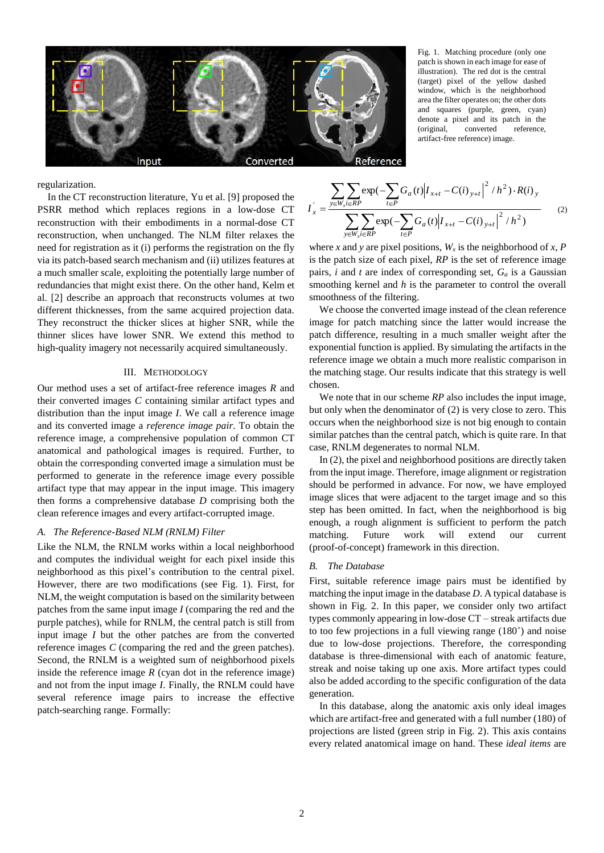

Fig. 1. Matching procedure (only one patch is shown in each image for ease of illustration). The red dot is the central (target) pixel of the yellow dashed window, which is the neighborhood area the filter operates on; the other dots and squares (purple, green, cyan) denote a pixel and its patch in the (original, converted reference, artifact-free reference) image.

regularization.

In the CT reconstruction literature, Yu et al[. \[9\]](#page-3-5) proposed the PSRR method which replaces regions in a low-dose CT reconstruction with their embodiments in a normal-dose CT reconstruction, when unchanged. The NLM filter relaxes the need for registration as it (i) performs the registration on the fly via its patch-based search mechanism and (ii) utilizes features at a much smaller scale, exploiting the potentially large number of redundancies that might exist there. On the other hand, Kelm et al. [\[2\]](#page-3-6) describe an approach that reconstructs volumes at two different thicknesses, from the same acquired projection data. They reconstruct the thicker slices at higher SNR, while the thinner slices have lower SNR. We extend this method to high-quality imagery not necessarily acquired simultaneously.

# III. METHODOLOGY

Our method uses a set of artifact-free reference images *R* and their converted images *C* containing similar artifact types and distribution than the input image *I*. We call a reference image and its converted image a *reference image pair*. To obtain the reference image, a comprehensive population of common CT anatomical and pathological images is required. Further, to obtain the corresponding converted image a simulation must be performed to generate in the reference image every possible artifact type that may appear in the input image. This imagery then forms a comprehensive database *D* comprising both the clean reference images and every artifact-corrupted image.

## *A. The Reference-Based NLM (RNLM) Filter*

Like the NLM, the RNLM works within a local neighborhood and computes the individual weight for each pixel inside this neighborhood as this pixel's contribution to the central pixel. However, there are two modifications (see Fig. 1). First, for NLM, the weight computation is based on the similarity between patches from the same input image *I* (comparing the red and the purple patches), while for RNLM, the central patch is still from input image *I* but the other patches are from the converted reference images *C* (comparing the red and the green patches). Second, the RNLM is a weighted sum of neighborhood pixels inside the reference image  $R$  (cyan dot in the reference image) and not from the input image *I*. Finally, the RNLM could have several reference image pairs to increase the effective patch-searching range. Formally:

$$
I_{x} = \frac{\sum_{y \in W_{x} i \in RP} \exp(-\sum_{t \in P} G_{a}(t) |I_{x+t} - C(i)_{y+t}|^{2} / h^{2}) \cdot R(i)_{y}}{\sum_{y \in W_{x} i \in RP} \exp(-\sum_{t \in P} G_{a}(t) |I_{x+t} - C(i)_{y+t}|^{2} / h^{2})}
$$
(2)

where *x* and *y* are pixel positions,  $W_x$  is the neighborhood of *x*, *P* is the patch size of each pixel, *RP* is the set of reference image pairs, *i* and *t* are index of corresponding set,  $G_a$  is a Gaussian smoothing kernel and *h* is the parameter to control the overall smoothness of the filtering.

We choose the converted image instead of the clean reference image for patch matching since the latter would increase the patch difference, resulting in a much smaller weight after the exponential function is applied. By simulating the artifacts in the reference image we obtain a much more realistic comparison in the matching stage. Our results indicate that this strategy is well chosen.

We note that in our scheme *RP* also includes the input image, but only when the denominator of (2) is very close to zero. This occurs when the neighborhood size is not big enough to contain similar patches than the central patch, which is quite rare. In that case, RNLM degenerates to normal NLM.

In (2), the pixel and neighborhood positions are directly taken from the input image. Therefore, image alignment or registration should be performed in advance. For now, we have employed image slices that were adjacent to the target image and so this step has been omitted. In fact, when the neighborhood is big enough, a rough alignment is sufficient to perform the patch matching. Future work will extend our current (proof-of-concept) framework in this direction.

#### *B. The Database*

First, suitable reference image pairs must be identified by matching the input image in the database *D*. A typical database is shown in Fig. 2. In this paper, we consider only two artifact types commonly appearing in low-dose CT – streak artifacts due to too few projections in a full viewing range (180˚) and noise due to low-dose projections. Therefore, the corresponding database is three-dimensional with each of anatomic feature, streak and noise taking up one axis. More artifact types could also be added according to the specific configuration of the data generation.

In this database, along the anatomic axis only ideal images which are artifact-free and generated with a full number (180) of projections are listed (green strip in Fig. 2). This axis contains every related anatomical image on hand. These *ideal items* are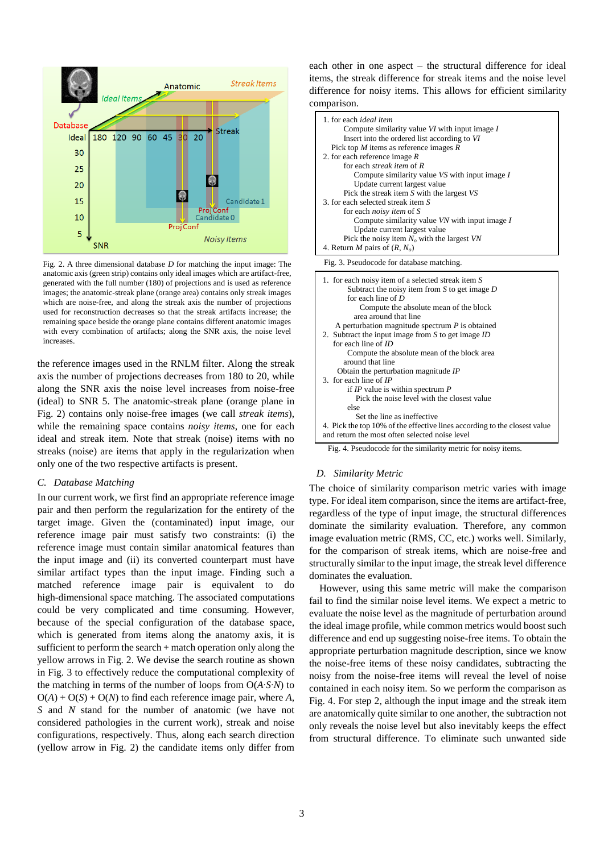

Fig. 2. A three dimensional database *D* for matching the input image: The anatomic axis (green strip) contains only ideal images which are artifact-free, generated with the full number (180) of projections and is used as reference images; the anatomic-streak plane (orange area) contains only streak images which are noise-free, and along the streak axis the number of projections used for reconstruction decreases so that the streak artifacts increase; the remaining space beside the orange plane contains different anatomic images with every combination of artifacts; along the SNR axis, the noise level increases.

the reference images used in the RNLM filter. Along the streak axis the number of projections decreases from 180 to 20, while along the SNR axis the noise level increases from noise-free (ideal) to SNR 5. The anatomic-streak plane (orange plane in Fig. 2) contains only noise-free images (we call *streak items*), while the remaining space contains *noisy items*, one for each ideal and streak item. Note that streak (noise) items with no streaks (noise) are items that apply in the regularization when only one of the two respective artifacts is present.

# *C. Database Matching*

In our current work, we first find an appropriate reference image pair and then perform the regularization for the entirety of the target image. Given the (contaminated) input image, our reference image pair must satisfy two constraints: (i) the reference image must contain similar anatomical features than the input image and (ii) its converted counterpart must have similar artifact types than the input image. Finding such a matched reference image pair is equivalent to do high-dimensional space matching. The associated computations could be very complicated and time consuming. However, because of the special configuration of the database space, which is generated from items along the anatomy axis, it is sufficient to perform the search + match operation only along the yellow arrows in Fig. 2. We devise the search routine as shown in Fig. 3 to effectively reduce the computational complexity of the matching in terms of the number of loops from O(*A*∙*S*∙*N*) to  $O(A) + O(S) + O(N)$  to find each reference image pair, where *A*, *S* and *N* stand for the number of anatomic (we have not considered pathologies in the current work), streak and noise configurations, respectively. Thus, along each search direction (yellow arrow in Fig. 2) the candidate items only differ from each other in one aspect – the structural difference for ideal items, the streak difference for streak items and the noise level difference for noisy items. This allows for efficient similarity comparison.



Fig. 3. Pseudocode for database matching.



Fig. 4. Pseudocode for the similarity metric for noisy items.

#### *D. Similarity Metric*

The choice of similarity comparison metric varies with image type. For ideal item comparison, since the items are artifact-free, regardless of the type of input image, the structural differences dominate the similarity evaluation. Therefore, any common image evaluation metric (RMS, CC, etc.) works well. Similarly, for the comparison of streak items, which are noise-free and structurally similar to the input image, the streak level difference dominates the evaluation.

However, using this same metric will make the comparison fail to find the similar noise level items. We expect a metric to evaluate the noise level as the magnitude of perturbation around the ideal image profile, while common metrics would boost such difference and end up suggesting noise-free items. To obtain the appropriate perturbation magnitude description, since we know the noise-free items of these noisy candidates, subtracting the noisy from the noise-free items will reveal the level of noise contained in each noisy item. So we perform the comparison as Fig. 4. For step 2, although the input image and the streak item are anatomically quite similar to one another, the subtraction not only reveals the noise level but also inevitably keeps the effect from structural difference. To eliminate such unwanted side